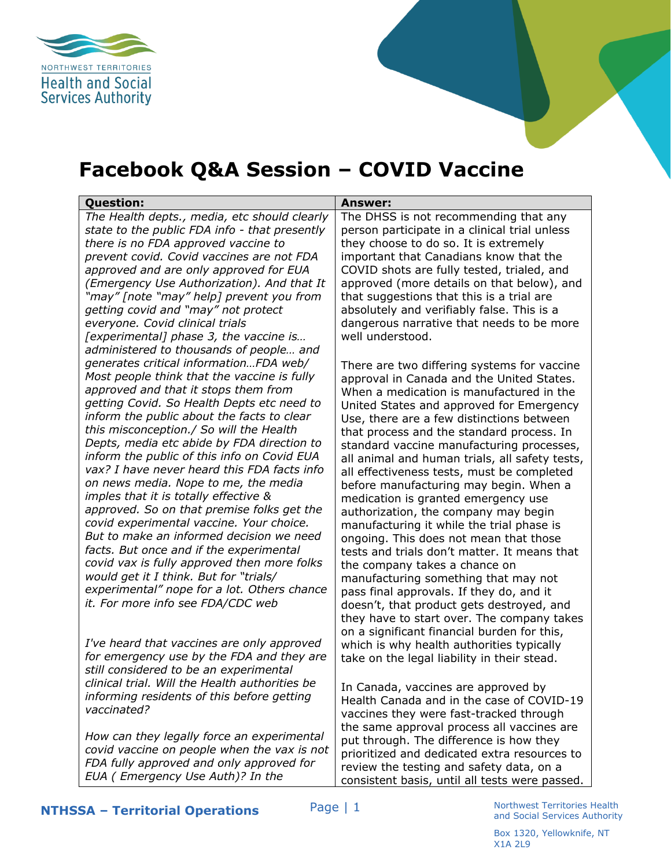

## **Facebook Q&A Session – COVID Vaccine**

| <b>Question:</b>                                                                   | <b>Answer:</b>                                                                          |
|------------------------------------------------------------------------------------|-----------------------------------------------------------------------------------------|
| The Health depts., media, etc should clearly                                       | The DHSS is not recommending that any                                                   |
| state to the public FDA info - that presently                                      | person participate in a clinical trial unless                                           |
| there is no FDA approved vaccine to                                                | they choose to do so. It is extremely                                                   |
| prevent covid. Covid vaccines are not FDA                                          | important that Canadians know that the                                                  |
| approved and are only approved for EUA                                             | COVID shots are fully tested, trialed, and                                              |
| (Emergency Use Authorization). And that It                                         | approved (more details on that below), and                                              |
| "may" [note "may" help] prevent you from                                           | that suggestions that this is a trial are                                               |
| getting covid and "may" not protect                                                | absolutely and verifiably false. This is a                                              |
| everyone. Covid clinical trials                                                    | dangerous narrative that needs to be more                                               |
| [experimental] phase 3, the vaccine is                                             | well understood.                                                                        |
| administered to thousands of people and                                            |                                                                                         |
| generates critical informationFDA web/                                             | There are two differing systems for vaccine                                             |
| Most people think that the vaccine is fully                                        | approval in Canada and the United States.                                               |
| approved and that it stops them from<br>getting Covid. So Health Depts etc need to | When a medication is manufactured in the                                                |
| inform the public about the facts to clear                                         | United States and approved for Emergency                                                |
| this misconception./ So will the Health                                            | Use, there are a few distinctions between                                               |
| Depts, media etc abide by FDA direction to                                         | that process and the standard process. In                                               |
| inform the public of this info on Covid EUA                                        | standard vaccine manufacturing processes,                                               |
| vax? I have never heard this FDA facts info                                        | all animal and human trials, all safety tests,                                          |
| on news media. Nope to me, the media                                               | all effectiveness tests, must be completed                                              |
| imples that it is totally effective &                                              | before manufacturing may begin. When a                                                  |
| approved. So on that premise folks get the                                         | medication is granted emergency use                                                     |
| covid experimental vaccine. Your choice.                                           | authorization, the company may begin                                                    |
| But to make an informed decision we need                                           | manufacturing it while the trial phase is                                               |
| facts. But once and if the experimental                                            | ongoing. This does not mean that those<br>tests and trials don't matter. It means that  |
| covid vax is fully approved then more folks                                        |                                                                                         |
| would get it I think. But for "trials/                                             | the company takes a chance on                                                           |
| experimental" nope for a lot. Others chance                                        | manufacturing something that may not                                                    |
| it. For more info see FDA/CDC web                                                  | pass final approvals. If they do, and it                                                |
|                                                                                    | doesn't, that product gets destroyed, and<br>they have to start over. The company takes |
|                                                                                    |                                                                                         |
| I've heard that vaccines are only approved                                         | on a significant financial burden for this,                                             |
| for emergency use by the FDA and they are                                          | which is why health authorities typically                                               |
| still considered to be an experimental                                             | take on the legal liability in their stead.                                             |
| clinical trial. Will the Health authorities be                                     |                                                                                         |
| informing residents of this before getting                                         | In Canada, vaccines are approved by                                                     |
| vaccinated?                                                                        | Health Canada and in the case of COVID-19                                               |
|                                                                                    | vaccines they were fast-tracked through                                                 |
| How can they legally force an experimental                                         | the same approval process all vaccines are                                              |
| covid vaccine on people when the vax is not                                        | put through. The difference is how they                                                 |
|                                                                                    | prioritized and dedicated extra resources to                                            |

*FDA fully approved and only approved for EUA ( Emergency Use Auth)? In the* 

review the testing and safety data, on a consistent basis, until all tests were passed.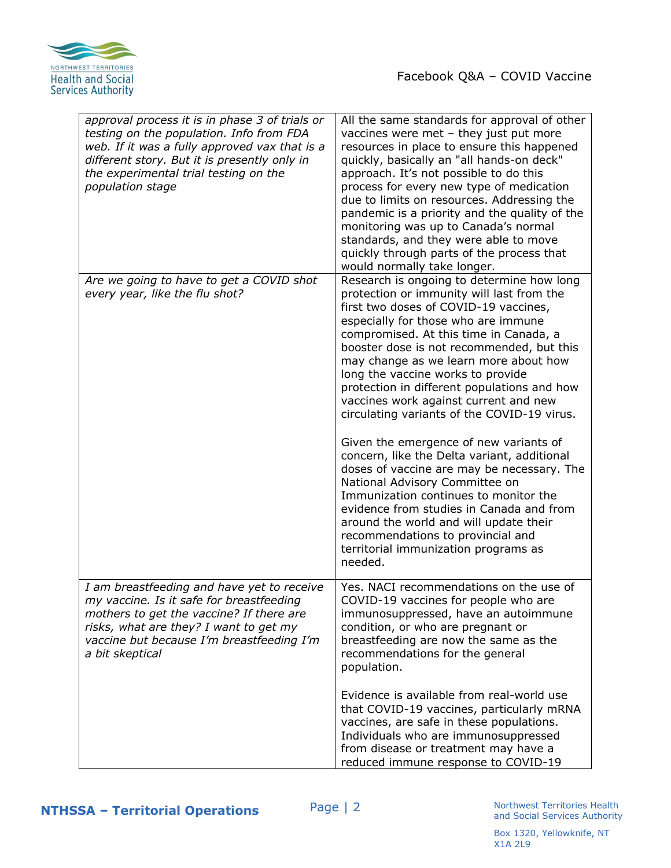

| approval process it is in phase 3 of trials or<br>testing on the population. Info from FDA<br>web. If it was a fully approved vax that is a<br>different story. But it is presently only in<br>the experimental trial testing on the<br>population stage | All the same standards for approval of other<br>vaccines were met - they just put more<br>resources in place to ensure this happened<br>quickly, basically an "all hands-on deck"<br>approach. It's not possible to do this<br>process for every new type of medication<br>due to limits on resources. Addressing the<br>pandemic is a priority and the quality of the<br>monitoring was up to Canada's normal<br>standards, and they were able to move<br>quickly through parts of the process that<br>would normally take longer.                                                                                                                                                                                                                                                                                                                                                |
|----------------------------------------------------------------------------------------------------------------------------------------------------------------------------------------------------------------------------------------------------------|------------------------------------------------------------------------------------------------------------------------------------------------------------------------------------------------------------------------------------------------------------------------------------------------------------------------------------------------------------------------------------------------------------------------------------------------------------------------------------------------------------------------------------------------------------------------------------------------------------------------------------------------------------------------------------------------------------------------------------------------------------------------------------------------------------------------------------------------------------------------------------|
| Are we going to have to get a COVID shot<br>every year, like the flu shot?                                                                                                                                                                               | Research is ongoing to determine how long<br>protection or immunity will last from the<br>first two doses of COVID-19 vaccines,<br>especially for those who are immune<br>compromised. At this time in Canada, a<br>booster dose is not recommended, but this<br>may change as we learn more about how<br>long the vaccine works to provide<br>protection in different populations and how<br>vaccines work against current and new<br>circulating variants of the COVID-19 virus.<br>Given the emergence of new variants of<br>concern, like the Delta variant, additional<br>doses of vaccine are may be necessary. The<br>National Advisory Committee on<br>Immunization continues to monitor the<br>evidence from studies in Canada and from<br>around the world and will update their<br>recommendations to provincial and<br>territorial immunization programs as<br>needed. |
| I am breastfeeding and have yet to receive<br>my vaccine. Is it safe for breastfeeding<br>mothers to get the vaccine? If there are<br>risks, what are they? I want to get my<br>vaccine but because I'm breastfeeding I'm<br>a bit skeptical             | Yes. NACI recommendations on the use of<br>COVID-19 vaccines for people who are<br>immunosuppressed, have an autoimmune<br>condition, or who are pregnant or<br>breastfeeding are now the same as the<br>recommendations for the general<br>population.<br>Evidence is available from real-world use<br>that COVID-19 vaccines, particularly mRNA<br>vaccines, are safe in these populations.<br>Individuals who are immunosuppressed<br>from disease or treatment may have a<br>reduced immune response to COVID-19                                                                                                                                                                                                                                                                                                                                                               |